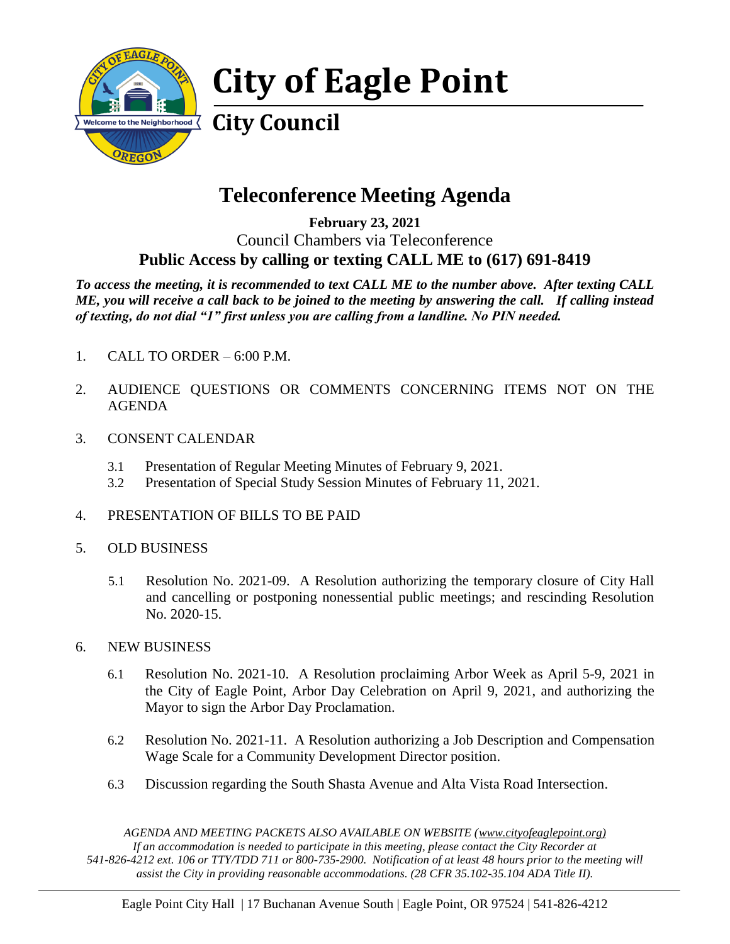

# **City of Eagle Point**

# **City Council**

## **Teleconference Meeting Agenda**

**February 23, 2021** Council Chambers via Teleconference **Public Access by calling or texting CALL ME to (617) 691-8419**

*To access the meeting, it is recommended to text CALL ME to the number above. After texting CALL ME, you will receive a call back to be joined to the meeting by answering the call. If calling instead of texting, do not dial "1" first unless you are calling from a landline. No PIN needed.* 

- 1. CALL TO ORDER 6:00 P.M.
- 2. AUDIENCE QUESTIONS OR COMMENTS CONCERNING ITEMS NOT ON THE AGENDA
- 3. CONSENT CALENDAR
	- 3.1 Presentation of Regular Meeting Minutes of February 9, 2021.
	- 3.2 Presentation of Special Study Session Minutes of February 11, 2021.
- 4. PRESENTATION OF BILLS TO BE PAID
- 5. OLD BUSINESS
	- 5.1 Resolution No. 2021-09. A Resolution authorizing the temporary closure of City Hall and cancelling or postponing nonessential public meetings; and rescinding Resolution No. 2020-15.
- 6. NEW BUSINESS
	- 6.1 Resolution No. 2021-10. A Resolution proclaiming Arbor Week as April 5-9, 2021 in the City of Eagle Point, Arbor Day Celebration on April 9, 2021, and authorizing the Mayor to sign the Arbor Day Proclamation.
	- 6.2 Resolution No. 2021-11. A Resolution authorizing a Job Description and Compensation Wage Scale for a Community Development Director position.
	- 6.3 Discussion regarding the South Shasta Avenue and Alta Vista Road Intersection.

*AGENDA AND MEETING PACKETS ALSO AVAILABLE ON WEBSITE (www.cityofeaglepoint.org) If an accommodation is needed to participate in this meeting, please contact the City Recorder at 541-826-4212 ext. 106 or TTY/TDD 711 or 800-735-2900. Notification of at least 48 hours prior to the meeting will assist the City in providing reasonable accommodations. (28 CFR 35.102-35.104 ADA Title II).*